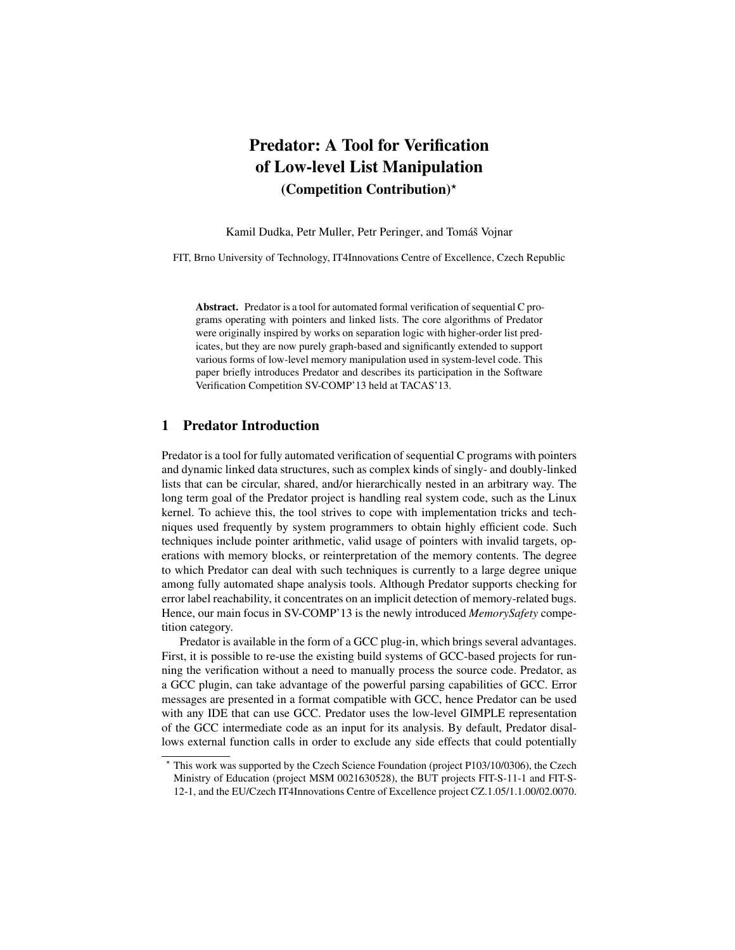# Predator: A Tool for Verification of Low-level List Manipulation (Competition Contribution)?

Kamil Dudka, Petr Muller, Petr Peringer, and Tomáš Vojnar

FIT, Brno University of Technology, IT4Innovations Centre of Excellence, Czech Republic

Abstract. Predator is a tool for automated formal verification of sequential C programs operating with pointers and linked lists. The core algorithms of Predator were originally inspired by works on separation logic with higher-order list predicates, but they are now purely graph-based and significantly extended to support various forms of low-level memory manipulation used in system-level code. This paper briefly introduces Predator and describes its participation in the Software Verification Competition SV-COMP'13 held at TACAS'13.

## 1 Predator Introduction

Predator is a tool for fully automated verification of sequential C programs with pointers and dynamic linked data structures, such as complex kinds of singly- and doubly-linked lists that can be circular, shared, and/or hierarchically nested in an arbitrary way. The long term goal of the Predator project is handling real system code, such as the Linux kernel. To achieve this, the tool strives to cope with implementation tricks and techniques used frequently by system programmers to obtain highly efficient code. Such techniques include pointer arithmetic, valid usage of pointers with invalid targets, operations with memory blocks, or reinterpretation of the memory contents. The degree to which Predator can deal with such techniques is currently to a large degree unique among fully automated shape analysis tools. Although Predator supports checking for error label reachability, it concentrates on an implicit detection of memory-related bugs. Hence, our main focus in SV-COMP'13 is the newly introduced *MemorySafety* competition category.

Predator is available in the form of a GCC plug-in, which brings several advantages. First, it is possible to re-use the existing build systems of GCC-based projects for running the verification without a need to manually process the source code. Predator, as a GCC plugin, can take advantage of the powerful parsing capabilities of GCC. Error messages are presented in a format compatible with GCC, hence Predator can be used with any IDE that can use GCC. Predator uses the low-level GIMPLE representation of the GCC intermediate code as an input for its analysis. By default, Predator disallows external function calls in order to exclude any side effects that could potentially

<sup>?</sup> This work was supported by the Czech Science Foundation (project P103/10/0306), the Czech Ministry of Education (project MSM 0021630528), the BUT projects FIT-S-11-1 and FIT-S-12-1, and the EU/Czech IT4Innovations Centre of Excellence project CZ.1.05/1.1.00/02.0070.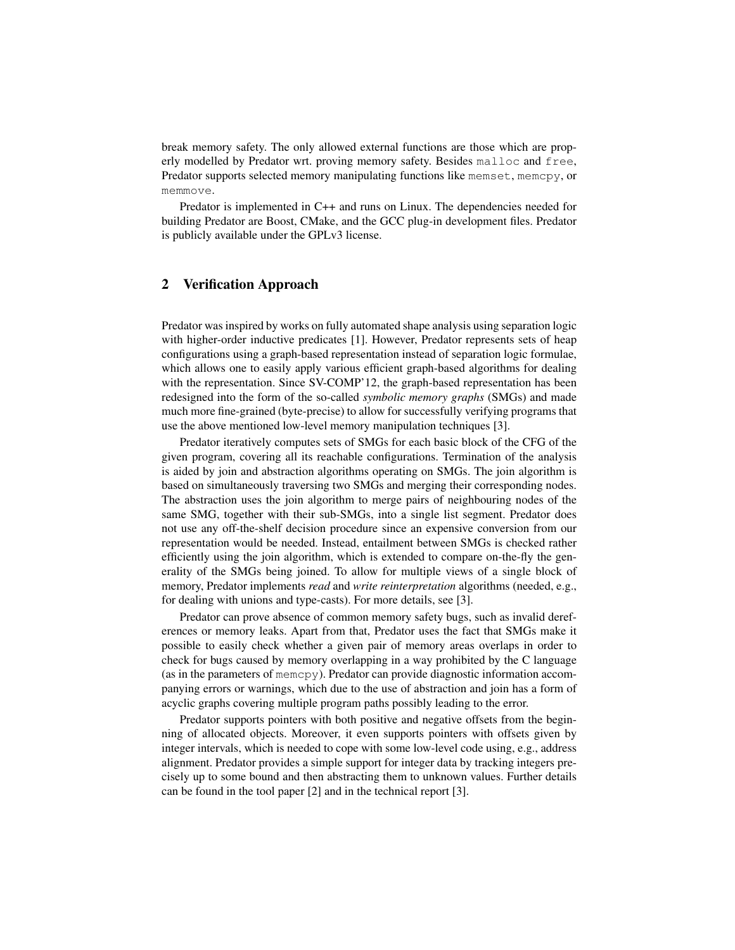break memory safety. The only allowed external functions are those which are properly modelled by Predator wrt. proving memory safety. Besides malloc and free, Predator supports selected memory manipulating functions like memset, memcpy, or memmove.

Predator is implemented in C++ and runs on Linux. The dependencies needed for building Predator are Boost, CMake, and the GCC plug-in development files. Predator is publicly available under the GPLv3 license.

#### 2 Verification Approach

Predator was inspired by works on fully automated shape analysis using separation logic with higher-order inductive predicates [1]. However, Predator represents sets of heap configurations using a graph-based representation instead of separation logic formulae, which allows one to easily apply various efficient graph-based algorithms for dealing with the representation. Since SV-COMP'12, the graph-based representation has been redesigned into the form of the so-called *symbolic memory graphs* (SMGs) and made much more fine-grained (byte-precise) to allow for successfully verifying programs that use the above mentioned low-level memory manipulation techniques [3].

Predator iteratively computes sets of SMGs for each basic block of the CFG of the given program, covering all its reachable configurations. Termination of the analysis is aided by join and abstraction algorithms operating on SMGs. The join algorithm is based on simultaneously traversing two SMGs and merging their corresponding nodes. The abstraction uses the join algorithm to merge pairs of neighbouring nodes of the same SMG, together with their sub-SMGs, into a single list segment. Predator does not use any off-the-shelf decision procedure since an expensive conversion from our representation would be needed. Instead, entailment between SMGs is checked rather efficiently using the join algorithm, which is extended to compare on-the-fly the generality of the SMGs being joined. To allow for multiple views of a single block of memory, Predator implements *read* and *write reinterpretation* algorithms (needed, e.g., for dealing with unions and type-casts). For more details, see [3].

Predator can prove absence of common memory safety bugs, such as invalid dereferences or memory leaks. Apart from that, Predator uses the fact that SMGs make it possible to easily check whether a given pair of memory areas overlaps in order to check for bugs caused by memory overlapping in a way prohibited by the C language (as in the parameters of memcpy). Predator can provide diagnostic information accompanying errors or warnings, which due to the use of abstraction and join has a form of acyclic graphs covering multiple program paths possibly leading to the error.

Predator supports pointers with both positive and negative offsets from the beginning of allocated objects. Moreover, it even supports pointers with offsets given by integer intervals, which is needed to cope with some low-level code using, e.g., address alignment. Predator provides a simple support for integer data by tracking integers precisely up to some bound and then abstracting them to unknown values. Further details can be found in the tool paper [2] and in the technical report [3].